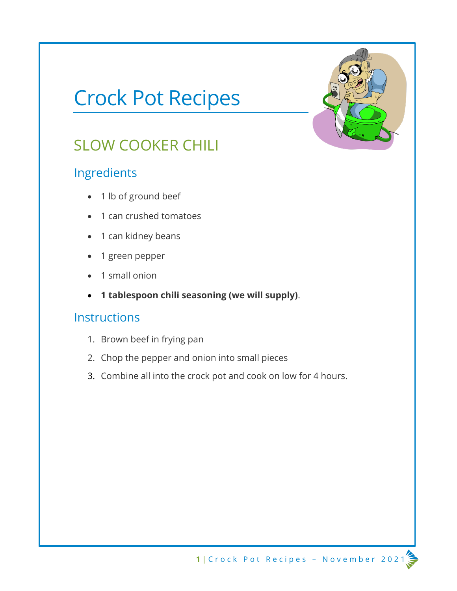# Crock Pot Recipes

## SLOW COOKER CHILI

### Ingredients

- 1 lb of ground beef
- 1 can crushed tomatoes
- 1 can kidney beans
- 1 green pepper
- 1 small onion
- **1 tablespoon chili seasoning (we will supply)**.

- 1. Brown beef in frying pan
- 2. Chop the pepper and onion into small pieces
- 3. Combine all into the crock pot and cook on low for 4 hours.

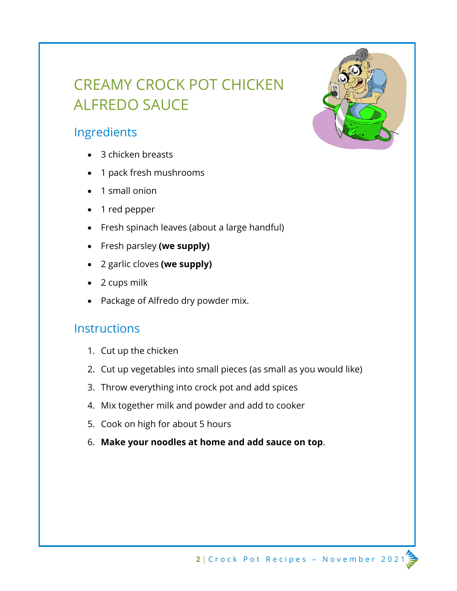# CREAMY CROCK POT CHICKEN ALFREDO SAUCE

### Ingredients

- 3 chicken breasts
- 1 pack fresh mushrooms
- 1 small onion
- 1 red pepper
- Fresh spinach leaves (about a large handful)
- Fresh parsley **(we supply)**
- 2 garlic cloves **(we supply)**
- 2 cups milk
- Package of Alfredo dry powder mix.

- 1. Cut up the chicken
- 2. Cut up vegetables into small pieces (as small as you would like)
- 3. Throw everything into crock pot and add spices
- 4. Mix together milk and powder and add to cooker
- 5. Cook on high for about 5 hours
- 6. **Make your noodles at home and add sauce on top**.

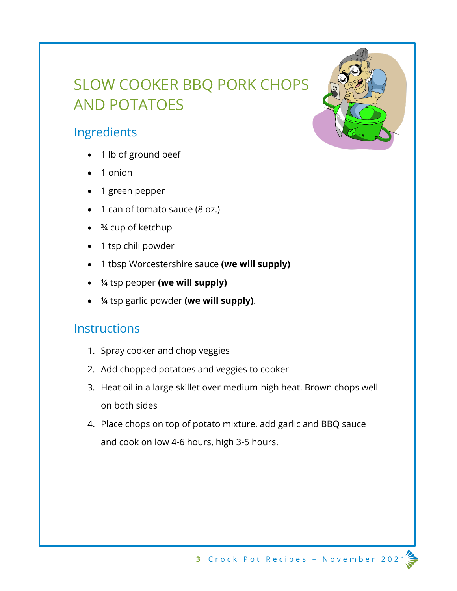# SLOW COOKER BBQ PORK CHOPS AND POTATOES

### Ingredients

- 1 lb of ground beef
- 1 onion
- 1 green pepper
- 1 can of tomato sauce (8 oz.)
- <sup>3</sup>/4 cup of ketchup
- 1 tsp chili powder
- 1 tbsp Worcestershire sauce **(we will supply)**
- ¼ tsp pepper **(we will supply)**
- ¼ tsp garlic powder **(we will supply)**.

- 1. Spray cooker and chop veggies
- 2. Add chopped potatoes and veggies to cooker
- 3. Heat oil in a large skillet over medium-high heat. Brown chops well on both sides
- 4. Place chops on top of potato mixture, add garlic and BBQ sauce and cook on low 4-6 hours, high 3-5 hours.

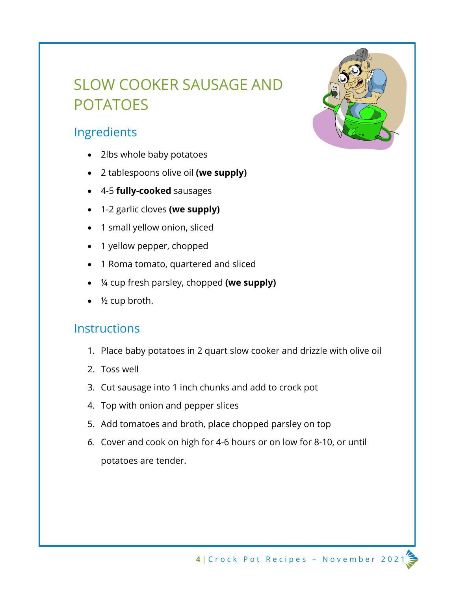# SLOW COOKER SAUSAGE AND POTATOES

### Ingredients

- 2lbs whole baby potatoes
- 2 tablespoons olive oil **(we supply)**
- 4-5 **fully-cooked** sausages
- 1-2 garlic cloves **(we supply)**
- 1 small yellow onion, sliced
- 1 yellow pepper, chopped
- 1 Roma tomato, quartered and sliced
- ¼ cup fresh parsley, chopped **(we supply)**
- $\frac{1}{2}$  cup broth.

- 1. Place baby potatoes in 2 quart slow cooker and drizzle with olive oil
- 2. Toss well
- 3. Cut sausage into 1 inch chunks and add to crock pot
- 4. Top with onion and pepper slices
- 5. Add tomatoes and broth, place chopped parsley on top
- *6.* Cover and cook on high for 4-6 hours or on low for 8-10, or until potatoes are tender.